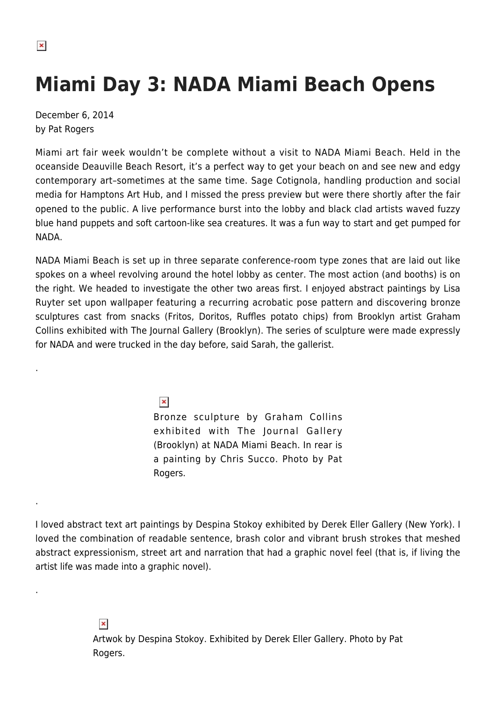.

.

.

## **Miami Day 3: NADA Miami Beach Opens**

December 6, 2014 by Pat Rogers

Miami art fair week wouldn't be complete without a visit to NADA Miami Beach. Held in the oceanside Deauville Beach Resort, it's a perfect way to get your beach on and see new and edgy contemporary art–sometimes at the same time. Sage Cotignola, handling production and social media for Hamptons Art Hub, and I missed the press preview but were there shortly after the fair opened to the public. A live performance burst into the lobby and black clad artists waved fuzzy blue hand puppets and soft cartoon-like sea creatures. It was a fun way to start and get pumped for NADA.

NADA Miami Beach is set up in three separate conference-room type zones that are laid out like spokes on a wheel revolving around the hotel lobby as center. The most action (and booths) is on the right. We headed to investigate the other two areas first. I enjoyed abstract paintings by Lisa Ruyter set upon wallpaper featuring a recurring acrobatic pose pattern and discovering bronze sculptures cast from snacks (Fritos, Doritos, Ruffles potato chips) from Brooklyn artist Graham Collins exhibited with The Journal Gallery (Brooklyn). The series of sculpture were made expressly for NADA and were trucked in the day before, said Sarah, the gallerist.

> $\pmb{\times}$ Bronze sculpture by Graham Collins exhibited with The Journal Gallery (Brooklyn) at NADA Miami Beach. In rear is a painting by Chris Succo. Photo by Pat Rogers.

I loved abstract text art paintings by Despina Stokoy exhibited by Derek Eller Gallery (New York). I loved the combination of readable sentence, brash color and vibrant brush strokes that meshed abstract expressionism, street art and narration that had a graphic novel feel (that is, if living the artist life was made into a graphic novel).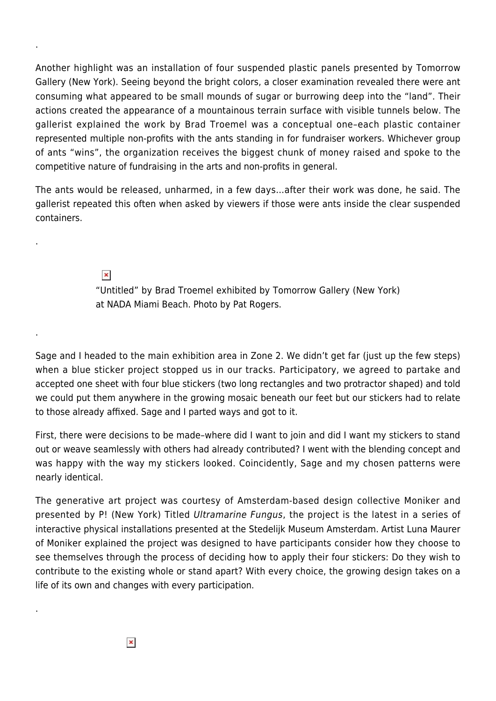Another highlight was an installation of four suspended plastic panels presented by Tomorrow Gallery (New York). Seeing beyond the bright colors, a closer examination revealed there were ant consuming what appeared to be small mounds of sugar or burrowing deep into the "land". Their actions created the appearance of a mountainous terrain surface with visible tunnels below. The gallerist explained the work by Brad Troemel was a conceptual one–each plastic container represented multiple non-profits with the ants standing in for fundraiser workers. Whichever group of ants "wins", the organization receives the biggest chunk of money raised and spoke to the competitive nature of fundraising in the arts and non-profits in general.

The ants would be released, unharmed, in a few days…after their work was done, he said. The gallerist repeated this often when asked by viewers if those were ants inside the clear suspended containers.

> $\pmb{\times}$ "Untitled" by Brad Troemel exhibited by Tomorrow Gallery (New York) at NADA Miami Beach. Photo by Pat Rogers.

Sage and I headed to the main exhibition area in Zone 2. We didn't get far (just up the few steps) when a blue sticker project stopped us in our tracks. Participatory, we agreed to partake and accepted one sheet with four blue stickers (two long rectangles and two protractor shaped) and told we could put them anywhere in the growing mosaic beneath our feet but our stickers had to relate to those already affixed. Sage and I parted ways and got to it.

First, there were decisions to be made–where did I want to join and did I want my stickers to stand out or weave seamlessly with others had already contributed? I went with the blending concept and was happy with the way my stickers looked. Coincidently, Sage and my chosen patterns were nearly identical.

The generative art project was courtesy of Amsterdam-based design collective Moniker and presented by P! (New York) Titled Ultramarine Fungus, the project is the latest in a series of interactive physical installations presented at the Stedelijk Museum Amsterdam. Artist Luna Maurer of Moniker explained the project was designed to have participants consider how they choose to see themselves through the process of deciding how to apply their four stickers: Do they wish to contribute to the existing whole or stand apart? With every choice, the growing design takes on a life of its own and changes with every participation.

 $\pmb{\times}$ 

.

.

.

.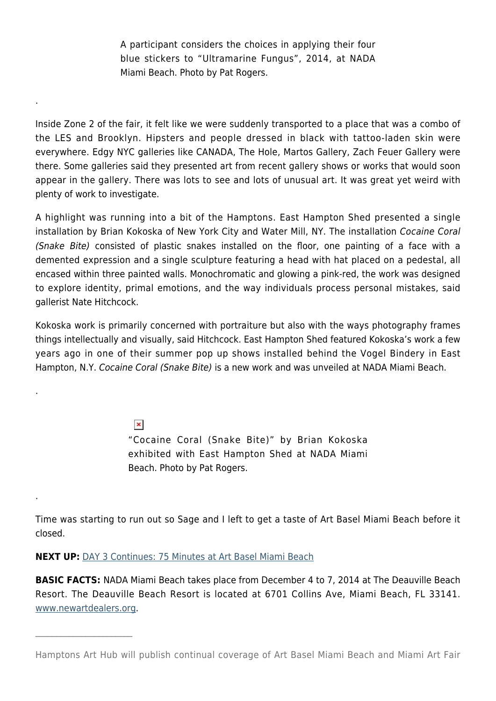A participant considers the choices in applying their four blue stickers to "Ultramarine Fungus", 2014, at NADA Miami Beach. Photo by Pat Rogers.

.

.

.

 $\mathcal{L}_\text{max}$ 

Inside Zone 2 of the fair, it felt like we were suddenly transported to a place that was a combo of the LES and Brooklyn. Hipsters and people dressed in black with tattoo-laden skin were everywhere. Edgy NYC galleries like CANADA, The Hole, Martos Gallery, Zach Feuer Gallery were there. Some galleries said they presented art from recent gallery shows or works that would soon appear in the gallery. There was lots to see and lots of unusual art. It was great yet weird with plenty of work to investigate.

A highlight was running into a bit of the Hamptons. East Hampton Shed presented a single installation by Brian Kokoska of New York City and Water Mill, NY. The installation Cocaine Coral (Snake Bite) consisted of plastic snakes installed on the floor, one painting of a face with a demented expression and a single sculpture featuring a head with hat placed on a pedestal, all encased within three painted walls. Monochromatic and glowing a pink-red, the work was designed to explore identity, primal emotions, and the way individuals process personal mistakes, said gallerist Nate Hitchcock.

Kokoska work is primarily concerned with portraiture but also with the ways photography frames things intellectually and visually, said Hitchcock. East Hampton Shed featured Kokoska's work a few years ago in one of their summer pop up shows installed behind the Vogel Bindery in East Hampton, N.Y. Cocaine Coral (Snake Bite) is a new work and was unveiled at NADA Miami Beach.

> $\pmb{\times}$ "Cocaine Coral (Snake Bite)" by Brian Kokoska exhibited with East Hampton Shed at NADA Miami Beach. Photo by Pat Rogers.

Time was starting to run out so Sage and I left to get a taste of Art Basel Miami Beach before it closed.

**NEXT UP:** [DAY 3 Continues: 75 Minutes at Art Basel Miami Beach](https://hamptonsarthub.com/2014/12/06/miami-day-3-continues-75-minutes-at-art-basel-miami-beach/)

**BASIC FACTS:** NADA Miami Beach takes place from December 4 to 7, 2014 at The Deauville Beach Resort. The Deauville Beach Resort is located at 6701 Collins Ave, Miami Beach, FL 33141. [www.newartdealers.org](http://www.newartdealers.org).

Hamptons Art Hub will publish continual coverage of Art Basel Miami Beach and Miami Art Fair